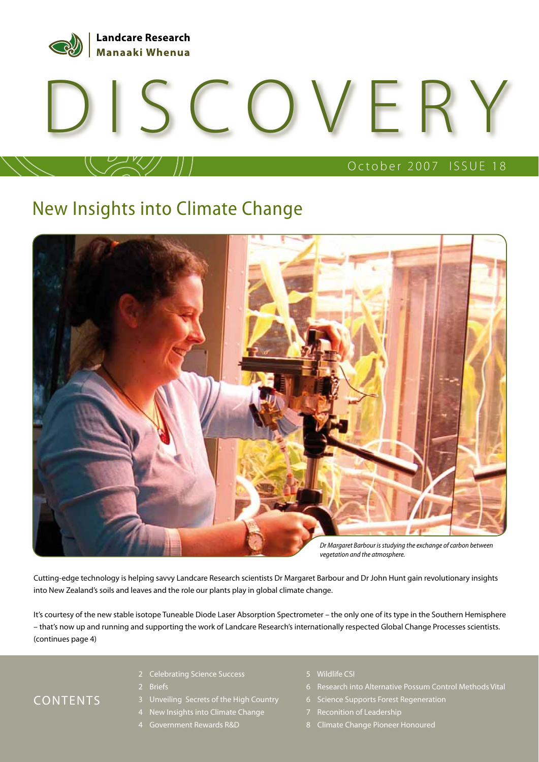

# COVERY

#### October 2007 ISSUE 18

## New Insights into Climate Change



Cutting-edge technology is helping savvy Landcare Research scientists Dr Margaret Barbour and Dr John Hunt gain revolutionary insights into New Zealand's soils and leaves and the role our plants play in global climate change.

It's courtesy of the new stable isotope Tuneable Diode Laser Absorption Spectrometer – the only one of its type in the Southern Hemisphere – that's now up and running and supporting the work of Landcare Research's internationally respected Global Change Processes scientists. (continues page 4)

#### CONTENTS

- 2 Celebrating Science Success
- 2 Briefs
- 3 Unveiling Secrets of the High Country
- 4 New Insights into Climate Change
- 4 Government Rewards R&D
- 5 Wildlife CSI
- 6 Research into Alternative Possum Control Methods Vital
- 6 Science Supports Forest Regeneration
- 7 Reconition of Leadership
- 8 Climate Change Pioneer Honoured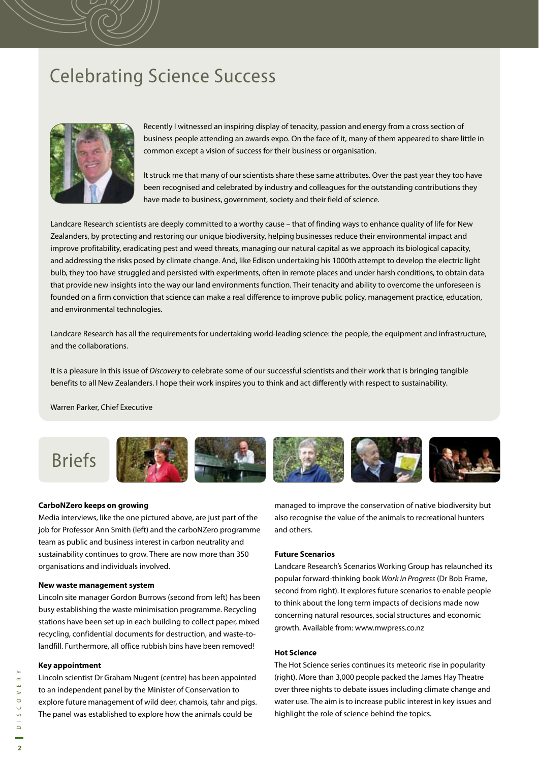## Celebrating Science Success



Recently I witnessed an inspiring display of tenacity, passion and energy from a cross section of business people attending an awards expo. On the face of it, many of them appeared to share little in common except a vision of success for their business or organisation.

It struck me that many of our scientists share these same attributes. Over the past year they too have been recognised and celebrated by industry and colleagues for the outstanding contributions they have made to business, government, society and their field of science.

Landcare Research scientists are deeply committed to a worthy cause – that of finding ways to enhance quality of life for New Zealanders, by protecting and restoring our unique biodiversity, helping businesses reduce their environmental impact and improve profitability, eradicating pest and weed threats, managing our natural capital as we approach its biological capacity, and addressing the risks posed by climate change. And, like Edison undertaking his 1000th attempt to develop the electric light bulb, they too have struggled and persisted with experiments, often in remote places and under harsh conditions, to obtain data that provide new insights into the way our land environments function. Their tenacity and ability to overcome the unforeseen is founded on a firm conviction that science can make a real difference to improve public policy, management practice, education, and environmental technologies.

Landcare Research has all the requirements for undertaking world-leading science: the people, the equipment and infrastructure, and the collaborations.

It is a pleasure in this issue of Discovery to celebrate some of our successful scientists and their work that is bringing tangible benefits to all New Zealanders. I hope their work inspires you to think and act differently with respect to sustainability.

Warren Parker, Chief Executive



#### **CarboNZero keeps on growing**

Media interviews, like the one pictured above, are just part of the job for Professor Ann Smith (left) and the carboNZero programme team as public and business interest in carbon neutrality and sustainability continues to grow. There are now more than 350 organisations and individuals involved.

#### **New waste management system**

Lincoln site manager Gordon Burrows (second from left) has been busy establishing the waste minimisation programme. Recycling stations have been set up in each building to collect paper, mixed recycling, confidential documents for destruction, and waste-tolandfill. Furthermore, all office rubbish bins have been removed!

#### **Key appointment**

Lincoln scientist Dr Graham Nugent (centre) has been appointed to an independent panel by the Minister of Conservation to explore future management of wild deer, chamois, tahr and pigs. The panel was established to explore how the animals could be

managed to improve the conservation of native biodiversity but also recognise the value of the animals to recreational hunters and others.

#### **Future Scenarios**

Landcare Research's Scenarios Working Group has relaunched its popular forward-thinking book Work in Progress (Dr Bob Frame, second from right). It explores future scenarios to enable people to think about the long term impacts of decisions made now concerning natural resources, social structures and economic growth. Available from: www.mwpress.co.nz

#### **Hot Science**

The Hot Science series continues its meteoric rise in popularity (right). More than 3,000 people packed the James Hay Theatre over three nights to debate issues including climate change and water use. The aim is to increase public interest in key issues and highlight the role of science behind the topics.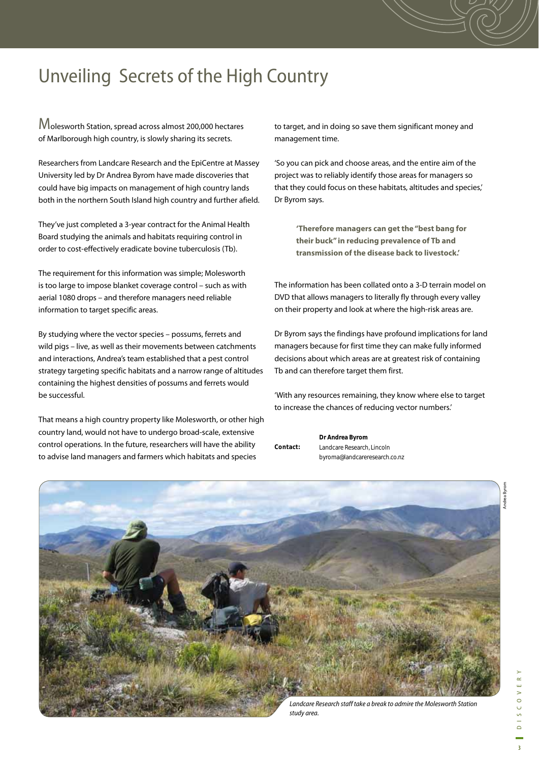# Unveiling Secrets of the High Country

Molesworth Station, spread across almost 200,000 hectares of Marlborough high country, is slowly sharing its secrets.

Researchers from Landcare Research and the EpiCentre at Massey University led by Dr Andrea Byrom have made discoveries that could have big impacts on management of high country lands both in the northern South Island high country and further afield.

They've just completed a 3-year contract for the Animal Health Board studying the animals and habitats requiring control in order to cost-effectively eradicate bovine tuberculosis (Tb).

The requirement for this information was simple; Molesworth is too large to impose blanket coverage control – such as with aerial 1080 drops – and therefore managers need reliable information to target specific areas.

By studying where the vector species – possums, ferrets and wild pigs – live, as well as their movements between catchments and interactions, Andrea's team established that a pest control strategy targeting specific habitats and a narrow range of altitudes containing the highest densities of possums and ferrets would be successful.

That means a high country property like Molesworth, or other high country land, would not have to undergo broad-scale, extensive control operations. In the future, researchers will have the ability to advise land managers and farmers which habitats and species

to target, and in doing so save them significant money and management time.

'So you can pick and choose areas, and the entire aim of the project was to reliably identify those areas for managers so that they could focus on these habitats, altitudes and species,' Dr Byrom says.

> **'Therefore managers can get the "best bang for their buck" in reducing prevalence of Tb and transmission of the disease back to livestock.'**

The information has been collated onto a 3-D terrain model on DVD that allows managers to literally fly through every valley on their property and look at where the high-risk areas are.

Dr Byrom says the findings have profound implications for land managers because for first time they can make fully informed decisions about which areas are at greatest risk of containing Tb and can therefore target them first.

'With any resources remaining, they know where else to target to increase the chances of reducing vector numbers.'

**Dr Andrea Byrom** Landcare Research, Lincoln byroma@landcareresearch.co.nz **Contact:** 

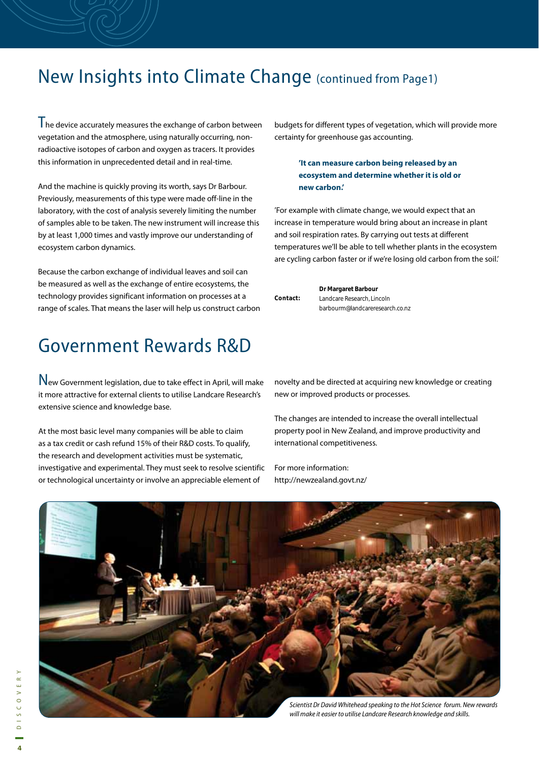#### New Insights into Climate Change (continued from Page1)

I he device accurately measures the exchange of carbon between vegetation and the atmosphere, using naturally occurring, nonradioactive isotopes of carbon and oxygen as tracers. It provides this information in unprecedented detail and in real-time.

And the machine is quickly proving its worth, says Dr Barbour. Previously, measurements of this type were made off-line in the laboratory, with the cost of analysis severely limiting the number of samples able to be taken. The new instrument will increase this by at least 1,000 times and vastly improve our understanding of ecosystem carbon dynamics.

Because the carbon exchange of individual leaves and soil can be measured as well as the exchange of entire ecosystems, the technology provides significant information on processes at a range of scales. That means the laser will help us construct carbon

## Government Rewards R&D

New Government legislation, due to take effect in April, will make it more attractive for external clients to utilise Landcare Research's extensive science and knowledge base.

At the most basic level many companies will be able to claim as a tax credit or cash refund 15% of their R&D costs. To qualify, the research and development activities must be systematic, investigative and experimental. They must seek to resolve scientific or technological uncertainty or involve an appreciable element of

budgets for different types of vegetation, which will provide more certainty for greenhouse gas accounting.

> **'It can measure carbon being released by an ecosystem and determine whether it is old or new carbon.'**

'For example with climate change, we would expect that an increase in temperature would bring about an increase in plant and soil respiration rates. By carrying out tests at different temperatures we'll be able to tell whether plants in the ecosystem are cycling carbon faster or if we're losing old carbon from the soil.'

|          | Dr Margaret Barbour             |
|----------|---------------------------------|
| Contact: | Landcare Research, Lincoln      |
|          | barbourm@landcareresearch.co.nz |

novelty and be directed at acquiring new knowledge or creating new or improved products or processes.

The changes are intended to increase the overall intellectual property pool in New Zealand, and improve productivity and international competitiveness.

For more information: http://newzealand.govt.nz/

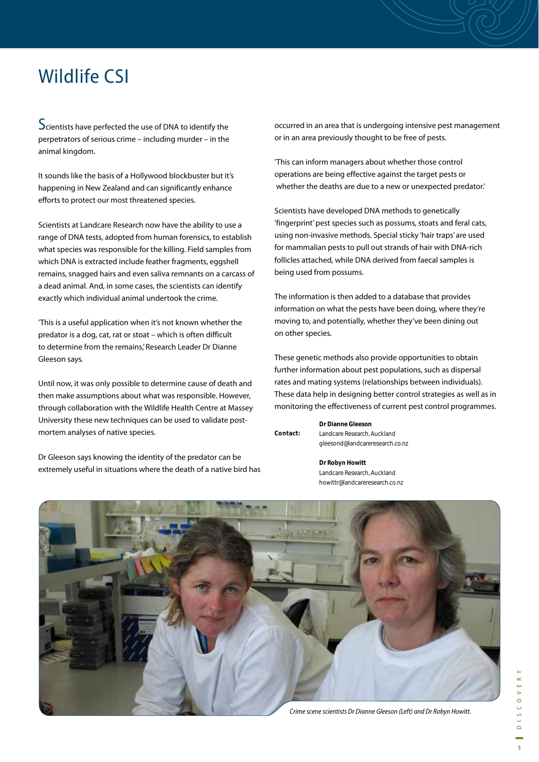## Wildlife CSI

Scientists have perfected the use of DNA to identify the perpetrators of serious crime – including murder – in the animal kingdom.

It sounds like the basis of a Hollywood blockbuster but it's happening in New Zealand and can significantly enhance efforts to protect our most threatened species.

Scientists at Landcare Research now have the ability to use a range of DNA tests, adopted from human forensics, to establish what species was responsible for the killing. Field samples from which DNA is extracted include feather fragments, eggshell remains, snagged hairs and even saliva remnants on a carcass of a dead animal. And, in some cases, the scientists can identify exactly which individual animal undertook the crime.

'This is a useful application when it's not known whether the predator is a dog, cat, rat or stoat – which is often difficult to determine from the remains,' Research Leader Dr Dianne Gleeson says.

Until now, it was only possible to determine cause of death and then make assumptions about what was responsible. However, through collaboration with the Wildlife Health Centre at Massey University these new techniques can be used to validate postmortem analyses of native species.

Dr Gleeson says knowing the identity of the predator can be extremely useful in situations where the death of a native bird has occurred in an area that is undergoing intensive pest management or in an area previously thought to be free of pests.

'This can inform managers about whether those control operations are being effective against the target pests or whether the deaths are due to a new or unexpected predator.'

Scientists have developed DNA methods to genetically 'fingerprint' pest species such as possums, stoats and feral cats, using non-invasive methods. Special sticky 'hair traps' are used for mammalian pests to pull out strands of hair with DNA-rich follicles attached, while DNA derived from faecal samples is being used from possums.

The information is then added to a database that provides information on what the pests have been doing, where they're moving to, and potentially, whether they've been dining out on other species.

These genetic methods also provide opportunities to obtain further information about pest populations, such as dispersal rates and mating systems (relationships between individuals). These data help in designing better control strategies as well as in monitoring the effectiveness of current pest control programmes.

|          | Dr Dianne Gleeson               |
|----------|---------------------------------|
| Contact: | Landcare Research, Auckland     |
|          | gleesond@landcareresearch.co.nz |

**Dr Robyn Howitt** Landcare Research, Auckland howittr@landcareresearch.co.nz

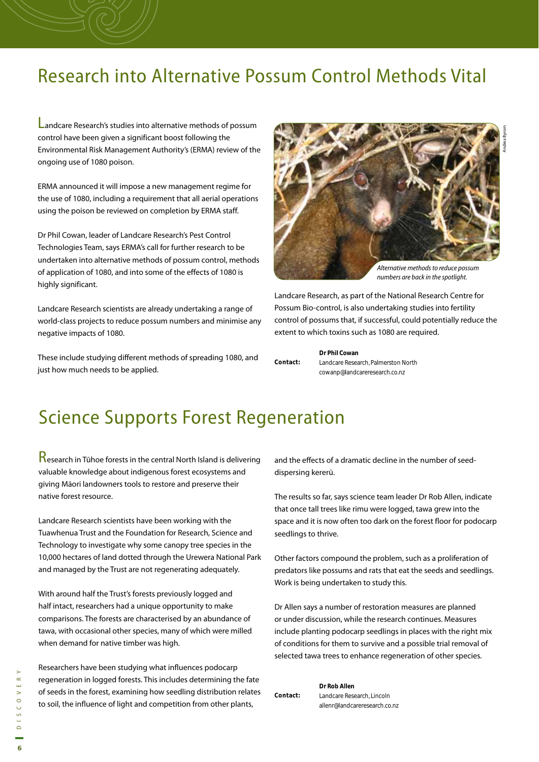#### Research into Alternative Possum Control Methods Vital

Landcare Research's studies into alternative methods of possum control have been given a significant boost following the Environmental Risk Management Authority's (ERMA) review of the ongoing use of 1080 poison.

ERMA announced it will impose a new management regime for the use of 1080, including a requirement that all aerial operations using the poison be reviewed on completion by ERMA staff.

Dr Phil Cowan, leader of Landcare Research's Pest Control Technologies Team, says ERMA's call for further research to be undertaken into alternative methods of possum control, methods of application of 1080, and into some of the effects of 1080 is highly significant.

Landcare Research scientists are already undertaking a range of world-class projects to reduce possum numbers and minimise any negative impacts of 1080.

These include studying different methods of spreading 1080, and just how much needs to be applied.



numbers are back in the spotlight.

Landcare Research, as part of the National Research Centre for Possum Bio-control, is also undertaking studies into fertility control of possums that, if successful, could potentially reduce the extent to which toxins such as 1080 are required.

**Dr Phil Cowan** Landcare Research, Palmerston North cowanp@landcareresearch.co.nz **Contact:** 

## Science Supports Forest Regeneration

Research in Tūhoe forests in the central North Island is delivering valuable knowledge about indigenous forest ecosystems and giving Māori landowners tools to restore and preserve their native forest resource.

Landcare Research scientists have been working with the Tuawhenua Trust and the Foundation for Research, Science and Technology to investigate why some canopy tree species in the 10,000 hectares of land dotted through the Urewera National Park and managed by the Trust are not regenerating adequately.

With around half the Trust's forests previously logged and half intact, researchers had a unique opportunity to make comparisons. The forests are characterised by an abundance of tawa, with occasional other species, many of which were milled when demand for native timber was high.

Researchers have been studying what influences podocarp regeneration in logged forests. This includes determining the fate of seeds in the forest, examining how seedling distribution relates to soil, the influence of light and competition from other plants,

and the effects of a dramatic decline in the number of seeddispersing kererū.

The results so far, says science team leader Dr Rob Allen, indicate that once tall trees like rimu were logged, tawa grew into the space and it is now often too dark on the forest floor for podocarp seedlings to thrive.

Other factors compound the problem, such as a proliferation of predators like possums and rats that eat the seeds and seedlings. Work is being undertaken to study this.

Dr Allen says a number of restoration measures are planned or under discussion, while the research continues. Measures include planting podocarp seedlings in places with the right mix of conditions for them to survive and a possible trial removal of selected tawa trees to enhance regeneration of other species.

|          | Dr Rob Allen                  |
|----------|-------------------------------|
| Contact: | Landcare Research, Lincoln    |
|          | allenr@landcareresearch.co.nz |

Andrea Byrom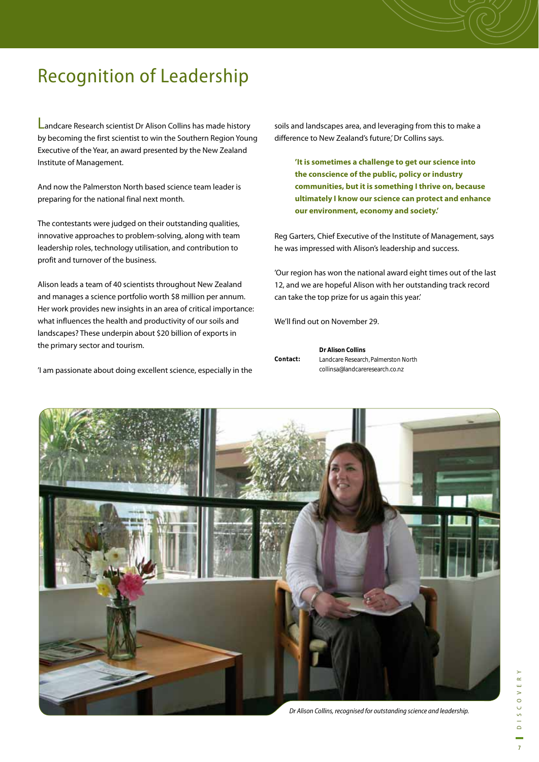## Recognition of Leadership

Landcare Research scientist Dr Alison Collins has made history by becoming the first scientist to win the Southern Region Young Executive of the Year, an award presented by the New Zealand Institute of Management.

And now the Palmerston North based science team leader is preparing for the national final next month.

The contestants were judged on their outstanding qualities, innovative approaches to problem-solving, along with team leadership roles, technology utilisation, and contribution to profit and turnover of the business.

Alison leads a team of 40 scientists throughout New Zealand and manages a science portfolio worth \$8 million per annum. Her work provides new insights in an area of critical importance: what influences the health and productivity of our soils and landscapes? These underpin about \$20 billion of exports in the primary sector and tourism.

'I am passionate about doing excellent science, especially in the

soils and landscapes area, and leveraging from this to make a difference to New Zealand's future,' Dr Collins says.

**'It is sometimes a challenge to get our science into the conscience of the public, policy or industry communities, but it is something I thrive on, because ultimately I know our science can protect and enhance our environment, economy and society.'**

Reg Garters, Chief Executive of the Institute of Management, says he was impressed with Alison's leadership and success.

'Our region has won the national award eight times out of the last 12, and we are hopeful Alison with her outstanding track record can take the top prize for us again this year.'

We'll find out on November 29.

|          | <b>Dr Alison Collins</b>            |
|----------|-------------------------------------|
| Contact: | Landcare Research, Palmerston North |
|          | collinsa@landcareresearch.co.nz     |